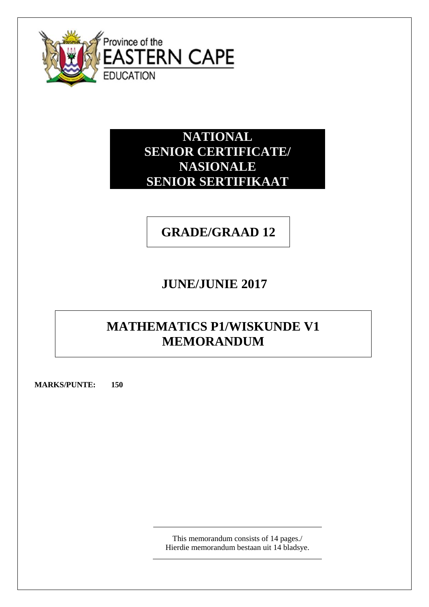

**NATIONAL SENIOR CERTIFICATE/ NASIONALE SENIOR SERTIFIKAAT**

# **GRADE/GRAAD 12**

# **JUNE/JUNIE 2017**

# **MATHEMATICS P1/WISKUNDE V1 MEMORANDUM**

**MARKS/PUNTE: 150**

This memorandum consists of 14 pages./ Hierdie memorandum bestaan uit 14 bladsye.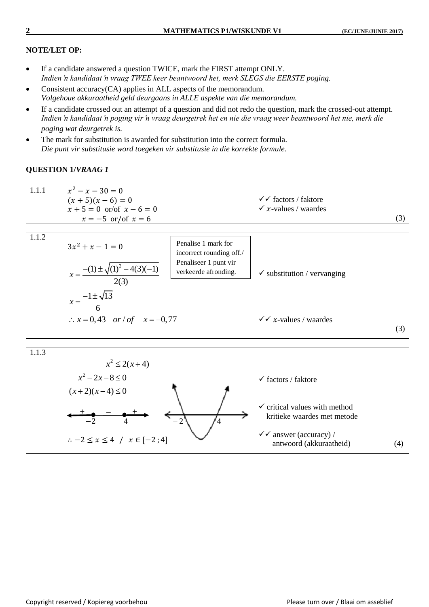### **NOTE/LET OP:**

- If a candidate answered a question TWICE, mark the FIRST attempt ONLY. *Indien 'n kandidaat 'n vraag TWEE keer beantwoord het, merk SLEGS die EERSTE poging.*
- Consistent accuracy(CA) applies in ALL aspects of the memorandum. *Volgehoue akkuraatheid geld deurgaans in ALLE aspekte van die memorandum.*
- If a candidate crossed out an attempt of a question and did not redo the question, mark the crossed-out attempt. *Indien 'n kandidaat 'n poging vir 'n vraag deurgetrek het en nie die vraag weer beantwoord het nie, merk die poging wat deurgetrek is.*
- The mark for substitution is awarded for substitution into the correct formula. *Die punt vir substitusie word toegeken vir substitusie in die korrekte formule.*

### **QUESTION 1/***VRAAG 1*

| 1.1.1 | $x^2 - x - 30 = 0$<br>$(x+5)(x-6) = 0$<br>$x + 5 = 0$ or/of $x - 6 = 0$<br>$x = -5$ or/of $x = 6$                                                                                                                                                                 | $\checkmark$ factors / faktore<br>$\checkmark$ x-values / waardes                                                                                                               | (3) |
|-------|-------------------------------------------------------------------------------------------------------------------------------------------------------------------------------------------------------------------------------------------------------------------|---------------------------------------------------------------------------------------------------------------------------------------------------------------------------------|-----|
| 1.1.2 | Penalise 1 mark for<br>$3x^2 + x - 1 = 0$<br>incorrect rounding off./<br>Penaliseer 1 punt vir<br>$\frac{-(1) \pm \sqrt{(1)^2 - 4(3)(-1)}}{2(3)}$<br>verkeerde afronding.<br>$x =$<br>$x = \frac{-1 \pm \sqrt{13}}{1}$<br>$\therefore$ x = 0,43 or / of x = -0,77 | $\checkmark$ substitution / vervanging<br>$\checkmark \checkmark$ x-values / waardes                                                                                            | (3) |
| 1.1.3 |                                                                                                                                                                                                                                                                   |                                                                                                                                                                                 |     |
|       | $x^2 \leq 2(x+4)$<br>$x^2 - 2x - 8 \le 0$<br>$(x+2)(x-4) \le 0$<br>4<br>$\therefore -2 \le x \le 4$ / $x \in [-2, 4]$                                                                                                                                             | $\checkmark$ factors / faktore<br>$\checkmark$ critical values with method<br>kritieke waardes met metode<br>$\checkmark$ answer (accuracy) /<br>antwoord (akkuraatheid)<br>(4) |     |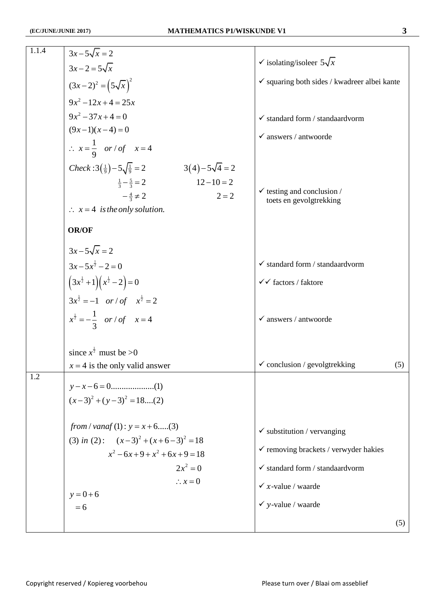| 1.1.4 | $3x-5\sqrt{x}=2$                                                                                                                                                                                         |                                                                                            |
|-------|----------------------------------------------------------------------------------------------------------------------------------------------------------------------------------------------------------|--------------------------------------------------------------------------------------------|
|       | $3x-2=5\sqrt{x}$                                                                                                                                                                                         | $\checkmark$ isolating/isoleer $5\sqrt{x}$                                                 |
|       | $(3x-2)^2 = (5\sqrt{x})^2$                                                                                                                                                                               | $\checkmark$ squaring both sides / kwadreer albei kante                                    |
|       | $9x^2 - 12x + 4 = 25x$                                                                                                                                                                                   |                                                                                            |
|       | $9x^2 - 37x + 4 = 0$                                                                                                                                                                                     | $\checkmark$ standard form / standaardvorm                                                 |
|       | $(9x-1)(x-4)=0$                                                                                                                                                                                          | $\checkmark$ answers / antwoorde                                                           |
|       | $\therefore x = \frac{1}{9}$ or / of $x = 4$                                                                                                                                                             |                                                                                            |
|       | $Check:3(\frac{1}{9})-5\sqrt{\frac{1}{9}}=2$<br>$3(4)-5\sqrt{4}=2$<br>$12 - 10 = 2$<br>$\frac{1}{3} - \frac{5}{3} = 2$<br>$-\frac{4}{3} \neq 2$<br>$2 = 2$<br>$\therefore$ $x = 4$ is the only solution. | $\checkmark$ testing and conclusion /<br>toets en gevolgtrekking                           |
|       | <b>OR/OF</b>                                                                                                                                                                                             |                                                                                            |
|       | $3x-5\sqrt{x}=2$<br>$3x-5x^{\frac{1}{2}}-2=0$<br>$(3x^{\frac{1}{2}}+1)(x^{\frac{1}{2}}-2)=0$<br>$3x^{\frac{1}{2}} = -1$ or / of $x^{\frac{1}{2}} = 2$                                                    | $\checkmark$ standard form / standard vorm<br>$\checkmark$ factors / faktore               |
|       | $x^{\frac{1}{2}} = -\frac{1}{3}$ or / of $x = 4$                                                                                                                                                         | $\checkmark$ answers / antwoorde                                                           |
|       | since $x^{\frac{1}{2}}$ must be >0                                                                                                                                                                       |                                                                                            |
|       | $x = 4$ is the only valid answer                                                                                                                                                                         | $\checkmark$ conclusion / gevolgtrekking<br>(5)                                            |
| 1.2   | $(x-3)^2 + (y-3)^2 = 18$ (2)                                                                                                                                                                             |                                                                                            |
|       | from / vanaf (1) : $y = x + 6$ (3)<br>(3) in (2): $(x-3)^2 + (x+6-3)^2 = 18$<br>$x^2-6x+9+x^2+6x+9=18$                                                                                                   | $\checkmark$ substitution / vervanging<br>$\checkmark$ removing brackets / verwyder hakies |
|       | $2x^2 = 0$                                                                                                                                                                                               | $\checkmark$ standard form / standaardvorm                                                 |
|       | $\therefore x = 0$                                                                                                                                                                                       | $\checkmark$ x-value / waarde                                                              |
|       | $y = 0 + 6$<br>$= 6$                                                                                                                                                                                     | $\checkmark$ y-value / waarde                                                              |
|       |                                                                                                                                                                                                          | (5)                                                                                        |
|       |                                                                                                                                                                                                          |                                                                                            |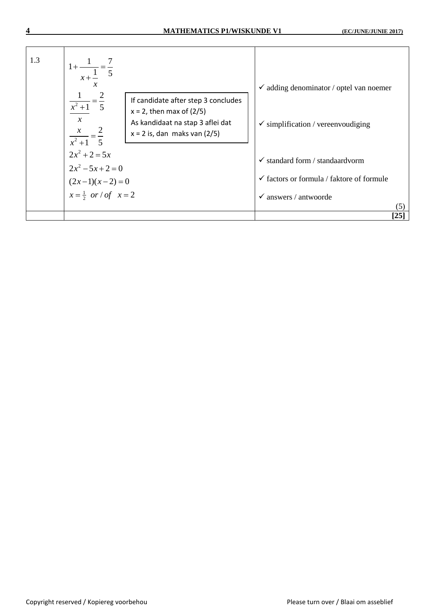| 1.3 | $1 + \frac{1}{1} = \frac{7}{5}$<br>$x + \frac{1}{x}$<br>х<br>If candidate after step 3 concludes<br>$\frac{x^2+1}{x^2+1} = \frac{1}{5}$<br>$x = 2$ , then max of $(2/5)$<br>$\mathcal{X}$<br>As kandidaat na stap 3 aflei dat | $\checkmark$ adding denominator / optel van noemer<br>$\checkmark$ simplification / vereenvoudiging |
|-----|-------------------------------------------------------------------------------------------------------------------------------------------------------------------------------------------------------------------------------|-----------------------------------------------------------------------------------------------------|
|     | $x = 2$ is, dan maks van $(2/5)$<br>$\frac{x^2+1}{x^2+1} = \frac{1}{5}$                                                                                                                                                       |                                                                                                     |
|     | $2x^2 + 2 = 5x$<br>$2x^2-5x+2=0$                                                                                                                                                                                              | $\checkmark$ standard form / standard vorm                                                          |
|     | $(2x-1)(x-2) = 0$<br>$x = \frac{1}{2}$ or / of $x = 2$                                                                                                                                                                        | $\checkmark$ factors or formula / faktore of formule                                                |
|     |                                                                                                                                                                                                                               | $\checkmark$ answers / antwoorde<br>(5)                                                             |
|     |                                                                                                                                                                                                                               | $[25]$                                                                                              |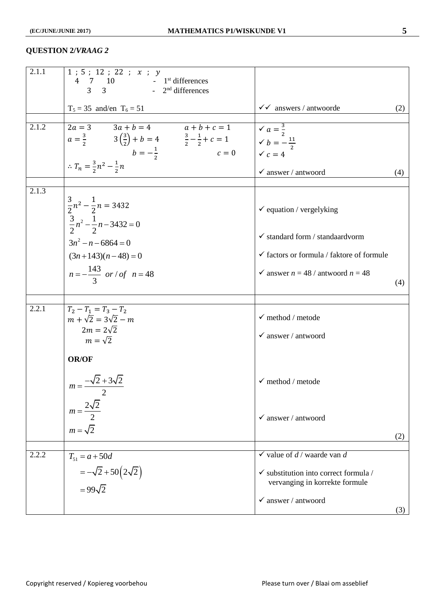#### **QUESTION 2/***VRAAG 2*

| 2.1.1 | 1; 5; 12; 22; x; y<br>$\begin{array}{ccc} 4 & 7 & 10 \\ 3 & 3 & -2^{\text{nd}} \end{array}$ differences                                                                                                                                           |                                                                                    |     |
|-------|---------------------------------------------------------------------------------------------------------------------------------------------------------------------------------------------------------------------------------------------------|------------------------------------------------------------------------------------|-----|
|       |                                                                                                                                                                                                                                                   |                                                                                    |     |
|       | $T_5 = 35$ and/en $T_6 = 51$                                                                                                                                                                                                                      | $\checkmark$ answers / antwoorde                                                   | (2) |
| 2.1.2 | 2a = 3 3a + b = 4 a + b + c = 1 $a = \frac{3}{2}$ 3 $(\frac{3}{2})$ + b = 4 $\frac{3}{2} - \frac{1}{2}$ + c = 1 $\checkmark$ a = $\frac{3}{2}$<br>b = $-\frac{1}{2}$ c = 0 $\checkmark$ c = 4<br>$\therefore T_n = \frac{3}{2}n^2 - \frac{1}{2}n$ | $\checkmark$ answer / antwoord                                                     | (4) |
| 2.1.3 |                                                                                                                                                                                                                                                   |                                                                                    |     |
|       | $\frac{3}{2}n^2 - \frac{1}{2}n = 3432$<br>$\frac{3}{2}n^2 - \frac{1}{2}n - 3432 = 0$                                                                                                                                                              | $\checkmark$ equation / vergelyking                                                |     |
|       | $3n^2 - n - 6864 = 0$                                                                                                                                                                                                                             | $\checkmark$ standard form / standard<br>vorm                                      |     |
|       | $(3n+143)(n-48)=0$                                                                                                                                                                                                                                | $\checkmark$ factors or formula / faktore of formule                               |     |
|       | $n=-\frac{143}{3}$ or / of $n=48$                                                                                                                                                                                                                 | $\checkmark$ answer $n = 48 /$ antwoord $n = 48$                                   | (4) |
|       |                                                                                                                                                                                                                                                   |                                                                                    |     |
| 2.2.1 | $T_2 - T_1 = T_3 - T_2$<br>$m + \sqrt{2} = 3\sqrt{2} - m$<br>$2m = 2\sqrt{2}$<br>$m=\sqrt{2}$                                                                                                                                                     | $\checkmark$ method / metode<br>$\checkmark$ answer / antwoord                     |     |
|       |                                                                                                                                                                                                                                                   |                                                                                    |     |
|       | <b>OR/OF</b>                                                                                                                                                                                                                                      |                                                                                    |     |
|       | $m = \frac{-\sqrt{2} + 3\sqrt{2}}{2}$                                                                                                                                                                                                             | $\checkmark$ method / metode                                                       |     |
|       | $m = \frac{2\sqrt{2}}{2}$                                                                                                                                                                                                                         | $\checkmark$ answer / antwoord                                                     |     |
|       | $m = \sqrt{2}$                                                                                                                                                                                                                                    |                                                                                    | (2) |
| 2.2.2 | $T_{51} = a + 50d$                                                                                                                                                                                                                                | $\checkmark$ value of d / waarde van d                                             |     |
|       | $=-\sqrt{2}+50(2\sqrt{2})$<br>$= 99\sqrt{2}$                                                                                                                                                                                                      | $\checkmark$ substitution into correct formula /<br>vervanging in korrekte formule |     |
|       |                                                                                                                                                                                                                                                   | $\checkmark$ answer / antwoord                                                     |     |
|       |                                                                                                                                                                                                                                                   |                                                                                    | (3) |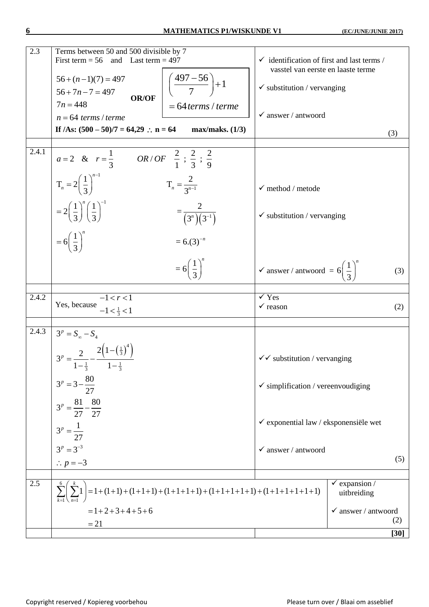#### **6 MATHEMATICS P1/WISKUNDE V1 (EC/JUNE/JUNIE 2017)**

| 2.3   | Terms between 50 and 500 divisible by 7<br>First term $= 56$<br>and Last term $= 497$       | $\checkmark$ identification of first and last terms /                  |
|-------|---------------------------------------------------------------------------------------------|------------------------------------------------------------------------|
|       | $56 + (n-1)(7) = 497$                                                                       | vasstel van eerste en laaste terme                                     |
|       | $\left(\frac{497-56}{7}\right)+1$<br>$56 + 7n - 7 = 497$                                    | $\checkmark$ substitution / vervanging                                 |
|       | <b>OR/OF</b><br>$7n = 448$<br>$= 64$ terms / terme                                          |                                                                        |
|       | $n = 64$ terms / terme                                                                      | $\checkmark$ answer / antwoord                                         |
|       | If $/As: (500 - 50)/7 = 64,29$ : $n = 64$<br>max/maks. (1/3)                                | (3)                                                                    |
| 2.4.1 | <i>OR/OF</i> $\frac{2}{1}$ ; $\frac{2}{3}$ ; $\frac{2}{9}$<br>$a=2$ & $r=\frac{1}{3}$       |                                                                        |
|       | $T_n = 2\left(\frac{1}{3}\right)^{n-1}$<br>$T_n = \frac{2}{3^{n-1}}$                        | $\checkmark$ method / metode                                           |
|       | $=2\left(\frac{1}{3}\right)^{n}\left(\frac{1}{3}\right)^{-1}$<br>$=\frac{2}{(3^n)(3^{-1})}$ | $\checkmark$ substitution / vervanging                                 |
|       | $=6\left(\frac{1}{3}\right)^n$<br>$= 6(3)^{-n}$                                             |                                                                        |
|       | $= 6\left(\frac{1}{3}\right)^{n}$                                                           | $\checkmark$ answer / antwoord = 6 $\left(\frac{1}{3}\right)^n$<br>(3) |
| 2.4.2 | $-1 < r < 1$                                                                                | $\checkmark$ Yes                                                       |
|       | Yes, because<br>$-1 < \frac{1}{3} < 1$                                                      | $\checkmark$ reason<br>(2)                                             |
|       |                                                                                             |                                                                        |
| 2.4.3 | $3^p = S_{\infty} - S_4$                                                                    |                                                                        |
|       | $3^p = \frac{2}{\sqrt{1-\left(\frac{1}{3}\right)^4}}$<br>$1-\frac{1}{3}$                    | $\checkmark$ substitution / vervanging                                 |
|       | $3^p = 3 - \frac{80}{27}$                                                                   | $\checkmark$ simplification / vereenvoudiging                          |
|       | $3^p = \frac{81}{27} - \frac{80}{27}$                                                       | $\checkmark$ exponential law / eksponensiële wet                       |
|       | $3^p = \frac{1}{27}$                                                                        |                                                                        |
|       | $3^p = 3^{-3}$                                                                              | $\checkmark$ answer / antwoord                                         |
|       | $\therefore p = -3$                                                                         | (5)                                                                    |
| 2.5   | $= 1 + (1 + 1) + (1 + 1 + 1) + (1 + 1 + 1 + 1) + (1 + 1 + 1 + 1) + (1 + 1 + 1 + 1 + 1)$     | $\checkmark$ expansion /<br>uitbreiding                                |
|       | $=1+2+3+4+5+6$<br>$= 21$                                                                    | $\checkmark$ answer / antwoord<br>(2)                                  |
|       |                                                                                             | $[30]$                                                                 |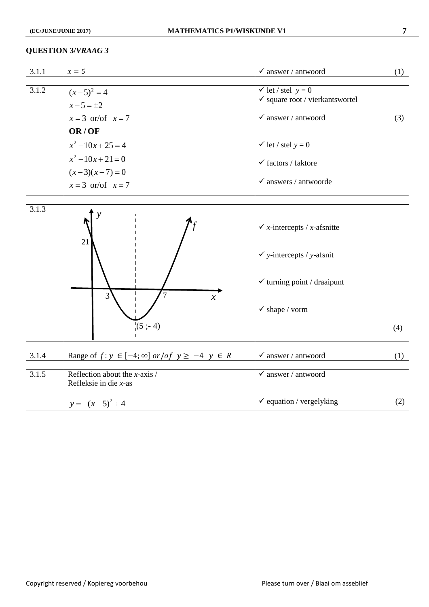#### **QUESTION 3/***VRAAG 3*

| 3.1.1 | $x=5$                                                                                                  | $\checkmark$ answer / antwoord                                                                                                                         | (1) |
|-------|--------------------------------------------------------------------------------------------------------|--------------------------------------------------------------------------------------------------------------------------------------------------------|-----|
| 3.1.2 | $(x-5)^2 = 4$<br>$x - 5 = \pm 2$<br>$x = 3$ or/of $x = 7$<br>OR/OF<br>$x^2-10x+25=4$<br>$x^2-10x+21=0$ | $\checkmark$ let / stel $y = 0$<br>$\checkmark$ square root / vierkants<br>wortel<br>$\checkmark$ answer / antwoord<br>$\checkmark$ let / stel $y = 0$ | (3) |
|       | $(x-3)(x-7) = 0$<br>$x = 3$ or/of $x = 7$                                                              | $\checkmark$ factors / faktore<br>$\checkmark$ answers / antwoorde                                                                                     |     |
| 3.1.3 | 21<br>$\overline{3}$<br>$\mathcal{X}$<br>$(5; -4)$                                                     | $\checkmark$ x-intercepts / x-afsnitte<br>$\checkmark$ y-intercepts / y-afsnit<br>$\checkmark$ turning point / draaipunt<br>$\checkmark$ shape / vorm  | (4) |
| 3.1.4 | Range of $f: y \in [-4; \infty]$ or / of $y \ge -4$ $y \in R$                                          | $\checkmark$ answer / antwoord                                                                                                                         | (1) |
| 3.1.5 | Reflection about the $x$ -axis /<br>Refleksie in die $x$ -as                                           | $\checkmark$ answer / antwoord                                                                                                                         |     |
|       | $y = -(x-5)^2 + 4$                                                                                     | $\checkmark$ equation / vergelyking                                                                                                                    | (2) |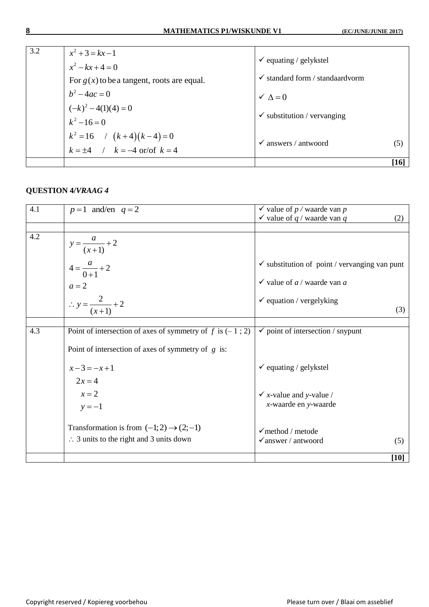| 3.2 | $x^2 + 3 = kx - 1$                                                    |                                            |        |
|-----|-----------------------------------------------------------------------|--------------------------------------------|--------|
|     | $\checkmark$ equating / gelykstel<br>$x^2 - kx + 4 = 0$               |                                            |        |
|     | For $g(x)$ to be a tangent, roots are equal.                          | $\checkmark$ standard form / standard vorm |        |
|     | $b^2 - 4ac = 0$                                                       | $\checkmark$ $\Lambda = 0$                 |        |
|     |                                                                       |                                            |        |
|     | $(-k)^2 - 4(1)(4) = 0$<br>$k^2 - 16 = 0$                              | $\checkmark$ substitution / vervanging     |        |
|     | $k^2 = 16$ / $(k+4)(k-4) = 0$<br>$k = \pm 4$ / $k = -4$ or/of $k = 4$ |                                            |        |
|     |                                                                       | $\checkmark$ answers / antwoord            | (5)    |
|     |                                                                       |                                            | $[16]$ |

### **QUESTION 4/***VRAAG 4*

| 4.1 | $p=1$ and/en $q=2$                                          | $\checkmark$ value of p / waarde van p                   |
|-----|-------------------------------------------------------------|----------------------------------------------------------|
|     |                                                             | $\checkmark$ value of q / waarde van q<br>(2)            |
| 4.2 |                                                             |                                                          |
|     | $y = \frac{a}{(x+1)} + 2$                                   |                                                          |
|     | $4 = \frac{a}{0+1} + 2$                                     | $\checkmark$ substitution of point / vervanging van punt |
|     | $a=2$                                                       | $\checkmark$ value of <i>a</i> / waarde van <i>a</i>     |
|     | $\therefore y = \frac{2}{(x+1)} + 2$                        | $\checkmark$ equation / vergelyking                      |
|     |                                                             | (3)                                                      |
|     |                                                             |                                                          |
| 4.3 | Point of intersection of axes of symmetry of f is $(-1; 2)$ | $\checkmark$ point of intersection / snypunt             |
|     | Point of intersection of axes of symmetry of $g$ is:        |                                                          |
|     | $x-3=-x+1$                                                  | $\checkmark$ equating / gelykstel                        |
|     | $2x = 4$                                                    |                                                          |
|     | $x = 2$                                                     | $\checkmark$ x-value and y-value /                       |
|     | $y = -1$                                                    | x-waarde en y-waarde                                     |
|     | Transformation is from $(-1,2) \rightarrow (2,-1)$          | $\checkmark$ method / metode                             |
|     | $\therefore$ 3 units to the right and 3 units down          | $\checkmark$ answer / antwoord<br>(5)                    |
|     |                                                             | $[10]$                                                   |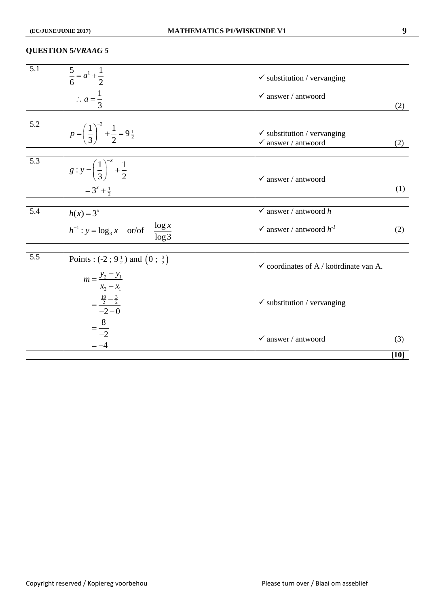#### **QUESTION 5/***VRAAG 5*

| 5.1 | $rac{5}{6} = a^1 + \frac{1}{2}$                                               | $\checkmark$ substitution / vervanging                                   |        |
|-----|-------------------------------------------------------------------------------|--------------------------------------------------------------------------|--------|
|     | $\therefore a = \frac{1}{3}$                                                  | $\checkmark$ answer / antwoord                                           | (2)    |
|     |                                                                               |                                                                          |        |
| 5.2 | $p = \left(\frac{1}{3}\right)^{-2} + \frac{1}{2} = 9\frac{1}{2}$              | $\checkmark$ substitution / vervanging<br>$\checkmark$ answer / antwoord | (2)    |
| 5.3 | $g: y = \left(\frac{1}{3}\right)^{-x} + \frac{1}{2}$                          | $\checkmark$ answer / antwoord                                           |        |
|     | $=3^{x}+\frac{1}{2}$                                                          |                                                                          | (1)    |
|     |                                                                               |                                                                          |        |
| 5.4 | $h(x) = 3^x$                                                                  | $\checkmark$ answer / antwoord h                                         |        |
|     | $h^{-1}$ : $y = \log_3 x$ or/of $\frac{\log x}{\log 3}$                       | $\checkmark$ answer / antwoord $h^{-1}$                                  | (2)    |
|     |                                                                               |                                                                          |        |
| 5.5 | Points : $(-2; 9\frac{1}{2})$ and $(0; \frac{3}{2})$                          | $\checkmark$ coordinates of A / koördinate van A.                        |        |
|     | $m = \frac{y_2 - y_1}{x_2 - x_1}$<br>$=\frac{\frac{19}{2}-\frac{3}{2}}{-2-0}$ | $\checkmark$ substitution / vervanging                                   |        |
|     | $=\frac{8}{-2}$<br>$=-4$                                                      | $\checkmark$ answer / antwoord                                           | (3)    |
|     |                                                                               |                                                                          | $[10]$ |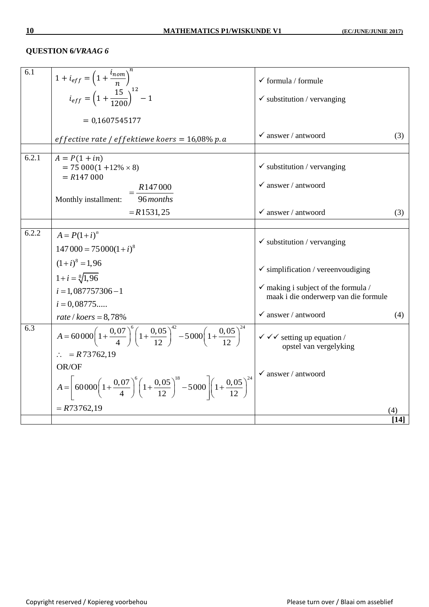### **QUESTION 6/***VRAAG 6*

| 6.1   | $1 + i_{eff} = \left(1 + \frac{i_{nom}}{n}\right)^n$<br>$i_{eff} = \left(1 + \frac{15}{1200}\right)^{12} - 1$                                                               | $\checkmark$ formula / formule                                                         |      |
|-------|-----------------------------------------------------------------------------------------------------------------------------------------------------------------------------|----------------------------------------------------------------------------------------|------|
|       |                                                                                                                                                                             | $\checkmark$ substitution / vervanging                                                 |      |
|       | $= 0,1607545177$                                                                                                                                                            |                                                                                        |      |
|       | effective rate / effektiewe koers = $16,08\%$ p. a                                                                                                                          | $\checkmark$ answer / antwoord                                                         | (3)  |
| 6.2.1 | $A = P(1 + in)$<br>$= 75000(1 + 12\% \times 8)$<br>$= R147000$                                                                                                              | $\checkmark$ substitution / vervanging                                                 |      |
|       | R <sub>147</sub> 000                                                                                                                                                        | $\checkmark$ answer / antwoord                                                         |      |
|       | $\frac{1}{96}$ months<br>Monthly installment:                                                                                                                               |                                                                                        |      |
|       | $=R1531,25$                                                                                                                                                                 | $\checkmark$ answer / antwoord                                                         | (3)  |
|       |                                                                                                                                                                             |                                                                                        |      |
| 6.2.2 | $A = P(1+i)^n$                                                                                                                                                              | $\checkmark$ substitution / vervanging                                                 |      |
|       | $147\,000 = 75\,000(1+i)^8$                                                                                                                                                 |                                                                                        |      |
|       | $(1+i)^8 = 1,96$                                                                                                                                                            | $\checkmark$ simplification / vereenvoudiging                                          |      |
|       | $1+i=\sqrt[8]{1,96}$                                                                                                                                                        |                                                                                        |      |
|       | $i = 1,087757306 - 1$                                                                                                                                                       | $\checkmark$ making i subject of the formula /<br>maak i die onderwerp van die formule |      |
|       | $i = 0,08775$                                                                                                                                                               |                                                                                        |      |
|       | rate / $koers = 8,78%$                                                                                                                                                      | $\checkmark$ answer / antwoord                                                         | (4)  |
| 6.3   | $A = 60000 \left(1 + \frac{0.07}{4}\right)^6 \left(1 + \frac{0.05}{12}\right)^{42} - 5000 \left(1 + \frac{0.05}{12}\right)^{24}$ $\bigvee \checkmark$ setting up equation / | opstel van vergelyking                                                                 |      |
|       | $\therefore$ = R73762,19                                                                                                                                                    |                                                                                        |      |
|       | OR/OF                                                                                                                                                                       | $\checkmark$ answer / antwoord                                                         |      |
|       | $A = \left[ 60000 \left( 1 + \frac{0.07}{4} \right) ^6 \left( 1 + \frac{0.05}{12} \right) ^{18} - 5000 \right] \left( 1 + \frac{0.05}{12} \right) ^{24}$                    |                                                                                        |      |
|       | $= R73762,19$                                                                                                                                                               |                                                                                        | (4)  |
|       |                                                                                                                                                                             |                                                                                        | [14] |
|       |                                                                                                                                                                             |                                                                                        |      |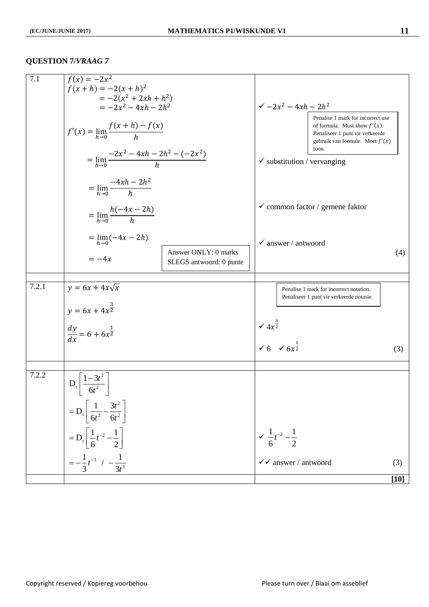## **QUESTION 7/***VRAAG 7*

| 7.1   | $f(x) = -2x^2$<br>$f(x+h) = -2(x+h)^2$                                                                                            |                                                 |                                                                   |                                                                                                                                                       |        |
|-------|-----------------------------------------------------------------------------------------------------------------------------------|-------------------------------------------------|-------------------------------------------------------------------|-------------------------------------------------------------------------------------------------------------------------------------------------------|--------|
|       | $=-2(x^2+2xh+h^2)$                                                                                                                |                                                 |                                                                   |                                                                                                                                                       |        |
|       | $=-2x^2-4xh-2h^2$<br>$f'(x) = \lim_{h \to 0} \frac{f(x+h) - f(x)}{h}$<br>$= \lim_{h\to 0} \frac{-2x^2 - 4xh - 2h^2 - (-2x^2)}{h}$ |                                                 | $\sqrt{-2x^2-4xh-2h^2}$                                           |                                                                                                                                                       |        |
|       |                                                                                                                                   |                                                 |                                                                   | Penalise 1 mark for incorrect use<br>of formula. Must show $f'(x)$ .<br>Penaliseer 1 punt vir verkeerde<br>gebruik van formule. Moet $f'(x)$<br>toon. |        |
|       |                                                                                                                                   |                                                 | $\checkmark$ substitution / vervanging                            |                                                                                                                                                       |        |
|       | $=\lim_{h\to 0} \frac{-4xh-2h^2}{h}$                                                                                              |                                                 |                                                                   |                                                                                                                                                       |        |
|       | $=\lim_{h\to 0} \frac{h(-4x-2h)}{h}$                                                                                              |                                                 |                                                                   | $\checkmark$ common factor / gemene faktor                                                                                                            |        |
|       | $=\lim_{h\to 0}(-4x-2h)$                                                                                                          |                                                 | $\checkmark$ answer / antwoord                                    |                                                                                                                                                       |        |
|       | $=-4x$                                                                                                                            | Answer ONLY: 0 marks<br>SLEGS antwoord: 0 punte |                                                                   |                                                                                                                                                       | (4)    |
| 7.2.1 | $y = 6x + 4x\sqrt{x}$                                                                                                             |                                                 |                                                                   | Penalise 1 mark for incorrect notation.<br>Penaliseer 1 punt vir verkeerde notasie.                                                                   |        |
|       | $y = 6x + 4x^{\frac{3}{2}}$                                                                                                       |                                                 |                                                                   |                                                                                                                                                       |        |
|       | $\frac{dy}{dx} = 6 + 6x^{\frac{1}{2}}$                                                                                            |                                                 | $\sqrt{4x^{\frac{3}{2}}}$<br>$\sqrt{6}$ $\sqrt{6x^{\frac{1}{2}}}$ |                                                                                                                                                       |        |
|       |                                                                                                                                   |                                                 |                                                                   |                                                                                                                                                       | (3)    |
| 7.2.2 |                                                                                                                                   |                                                 |                                                                   |                                                                                                                                                       |        |
|       | $D_t \frac{1-3t^2}{6t^2}$                                                                                                         |                                                 |                                                                   |                                                                                                                                                       |        |
|       | $= D_t \left[ \frac{1}{6t^2} - \frac{3t^2}{6t^2} \right]$                                                                         |                                                 |                                                                   |                                                                                                                                                       |        |
|       | $= D_t \left[ \frac{1}{6} t^{-2} - \frac{1}{2} \right]$                                                                           |                                                 | $\sqrt{\frac{1}{6}t^{-2}-\frac{1}{2}}$                            |                                                                                                                                                       |        |
|       | $=-\frac{1}{3}t^{-3}$ / $-\frac{1}{3t^3}$                                                                                         |                                                 | $\checkmark$ answer / antwoord                                    |                                                                                                                                                       | (3)    |
|       |                                                                                                                                   |                                                 |                                                                   |                                                                                                                                                       | $[10]$ |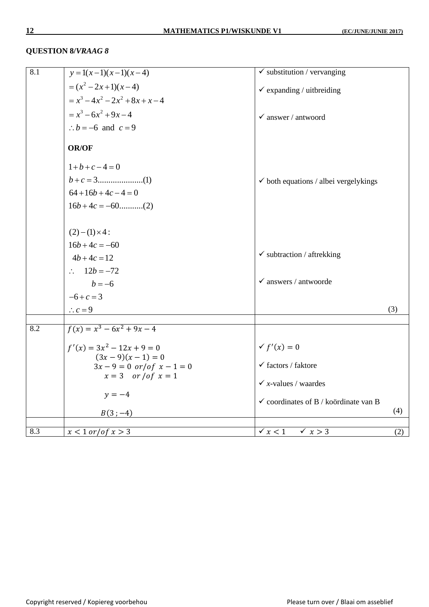### **QUESTION 8/***VRAAG 8*

| 8.1 | $y = 1(x-1)(x-1)(x-4)$                   | $\checkmark$ substitution / vervanging           |     |
|-----|------------------------------------------|--------------------------------------------------|-----|
|     | $=(x^2-2x+1)(x-4)$                       | $\checkmark$ expanding / uitbreiding             |     |
|     | $= x^{3} - 4x^{2} - 2x^{2} + 8x + x - 4$ |                                                  |     |
|     | $= x^3 - 6x^2 + 9x - 4$                  | $\checkmark$ answer / antwoord                   |     |
|     | $\therefore$ b = -6 and c = 9            |                                                  |     |
|     | <b>OR/OF</b>                             |                                                  |     |
|     | $1+b+c-4=0$                              |                                                  |     |
|     |                                          | $\checkmark$ both equations / albei vergelykings |     |
|     | $64+16b+4c-4=0$                          |                                                  |     |
|     | $16b+4c = -60$ (2)                       |                                                  |     |
|     | $(2)-(1)\times 4$ :                      |                                                  |     |
|     | $16b+4c = -60$                           |                                                  |     |
|     | $4b+4c=12$                               | $\checkmark$ subtraction / aftrekking            |     |
|     | $\therefore 12b = -72$                   |                                                  |     |
|     | $b = -6$                                 | $\checkmark$ answers / antwoorde                 |     |
|     |                                          |                                                  |     |
|     | $-6+c=3$                                 |                                                  |     |
|     | $\therefore$ c = 9                       |                                                  | (3) |
| 8.2 | $f(x) = x^3 - 6x^2 + 9x - 4$             |                                                  |     |
|     | $f'(x) = 3x^2 - 12x + 9 = 0$             | $\checkmark$ f'(x) = 0                           |     |
|     | $(3x-9)(x-1)=0$                          |                                                  |     |
|     | $3x - 9 = 0$ or/of $x - 1 = 0$           | $\checkmark$ factors / faktore                   |     |
|     | $x = 3$ or /of $x = 1$                   | $\checkmark$ x-values / waardes                  |     |
|     | $y = -4$                                 |                                                  |     |
|     | $B(3;-4)$                                | $\checkmark$ coordinates of B / koördinate van B | (4) |
|     |                                          |                                                  |     |
| 8.3 | $x < 1$ or/of $x > 3$                    | $\checkmark$ $x < 1$<br>$\times x > 3$           | (2) |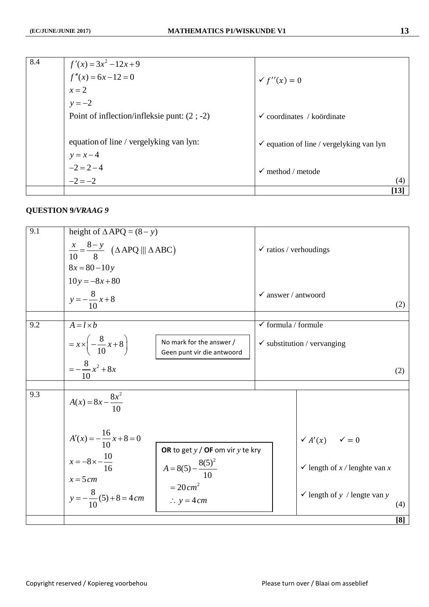| 8.4 | $f'(x) = 3x^2 - 12x + 9$<br>$f''(x) = 6x - 12 = 0$<br>$x = 2$ |                                                     |        |
|-----|---------------------------------------------------------------|-----------------------------------------------------|--------|
|     |                                                               | $f''(x) = 0$                                        |        |
|     |                                                               |                                                     |        |
|     | $y = -2$                                                      |                                                     |        |
|     | Point of inflection/infleksie punt: $(2; -2)$                 | $\checkmark$ coordinates / koördinate               |        |
|     |                                                               |                                                     |        |
|     | equation of line / vergelyking van lyn:                       | $\checkmark$ equation of line / vergelyking van lyn |        |
|     |                                                               |                                                     |        |
|     | $y = x-4$<br>-2 = 2 - 4<br>-2 = -2                            | $\checkmark$ method / metode                        |        |
|     |                                                               |                                                     | (4)    |
|     |                                                               |                                                     | $[13]$ |

## **QUESTION 9/***VRAAG 9*

| 9.1 | height of $\triangle APQ = (8 - y)$                                                                                                                            |                                                        |                                   |                                          |     |
|-----|----------------------------------------------------------------------------------------------------------------------------------------------------------------|--------------------------------------------------------|-----------------------------------|------------------------------------------|-----|
|     | $\frac{x}{10} = \frac{8-y}{8} \quad (\triangle APQ \parallel \triangle ABC)$                                                                                   |                                                        | $\checkmark$ ratios / verhoudings |                                          |     |
|     | $8x = 80 - 10y$                                                                                                                                                |                                                        |                                   |                                          |     |
|     | $10y = -8x + 80$                                                                                                                                               |                                                        |                                   |                                          |     |
|     | $y = -\frac{8}{10}x + 8$                                                                                                                                       |                                                        | $\checkmark$ answer / antwoord    |                                          | (2) |
|     |                                                                                                                                                                |                                                        |                                   |                                          |     |
| 9.2 | $A = l \times b$                                                                                                                                               |                                                        | $\checkmark$ formula / formule    |                                          |     |
|     | $= x \times \left(-\frac{8}{10}x + 8\right)$                                                                                                                   | No mark for the answer /<br>Geen punt vir die antwoord |                                   | $\checkmark$ substitution / vervanging   |     |
|     | $=-\frac{8}{10}x^2+8x$                                                                                                                                         |                                                        |                                   |                                          | (2) |
|     |                                                                                                                                                                |                                                        |                                   |                                          |     |
| 9.3 | $A(x) = 8x - \frac{8x^2}{10}$                                                                                                                                  |                                                        |                                   |                                          |     |
|     | $A'(x) = -\frac{16}{10}x + 8 = 0$<br>OR to get $y /$ OF om vir $y$ te kry<br>$x = -8 \times -\frac{10}{16}$<br>$A = 8(5) - \frac{8(5)^2}{10}$<br>$x = 5 \, cm$ |                                                        |                                   | $\checkmark$ A'(x) $\checkmark$ = 0      |     |
|     |                                                                                                                                                                |                                                        |                                   | $\checkmark$ length of x / lenghte van x |     |
|     | $y = -\frac{8}{10}(5) + 8 = 4 \, cm$                                                                                                                           | $= 20 \, cm^2$<br>$\therefore y = 4 \, cm$             |                                   | $\checkmark$ length of y / lengte van y  | (4) |
|     |                                                                                                                                                                |                                                        |                                   |                                          | [8] |
|     |                                                                                                                                                                |                                                        |                                   |                                          |     |